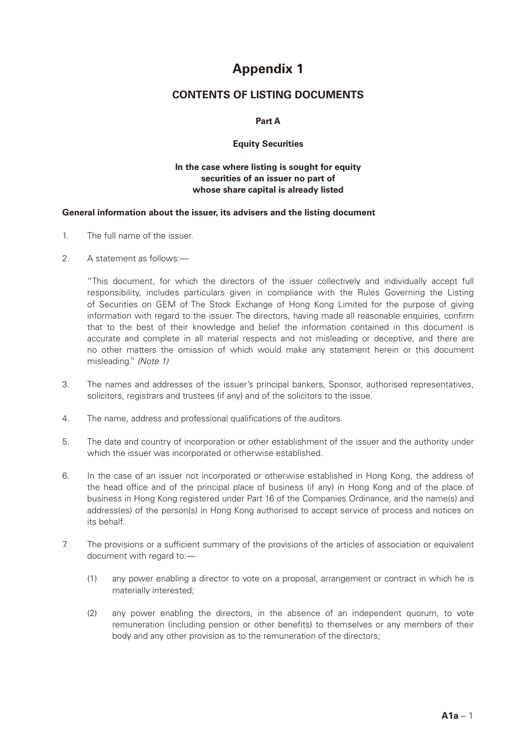# **Appendix 1**

## **CONTENTS OF LISTING DOCUMENTS**

## **Part A**

## **Equity Securities**

## **In the case where listing is sought for equity securities of an issuer no part of whose share capital is already listed**

#### **General information about the issuer, its advisers and the listing document**

- 1. The full name of the issuer.
- 2. A statement as follows:

"This document, for which the directors of the issuer collectively and individually accept full responsibility, includes particulars given in compliance with the Rules Governing the Listing of Securities on GEM of The Stock Exchange of Hong Kong Limited for the purpose of giving information with regard to the issuer. The directors, having made all reasonable enquiries, confirm that to the best of their knowledge and belief the information contained in this document is accurate and complete in all material respects and not misleading or deceptive, and there are no other matters the omission of which would make any statement herein or this document misleading." *(Note 1)*

- 3. The names and addresses of the issuer's principal bankers, Sponsor, authorised representatives, solicitors, registrars and trustees (if any) and of the solicitors to the issue.
- 4. The name, address and professional qualifications of the auditors.
- 5. The date and country of incorporation or other establishment of the issuer and the authority under which the issuer was incorporated or otherwise established.
- 6. In the case of an issuer not incorporated or otherwise established in Hong Kong, the address of the head office and of the principal place of business (if any) in Hong Kong and of the place of business in Hong Kong registered under Part 16 of the Companies Ordinance, and the name(s) and address(es) of the person(s) in Hong Kong authorised to accept service of process and notices on its behalf.
- 7. The provisions or a sufficient summary of the provisions of the articles of association or equivalent document with regard to:—
	- (1) any power enabling a director to vote on a proposal, arrangement or contract in which he is materially interested;
	- (2) any power enabling the directors, in the absence of an independent quorum, to vote remuneration (including pension or other benefits) to themselves or any members of their body and any other provision as to the remuneration of the directors;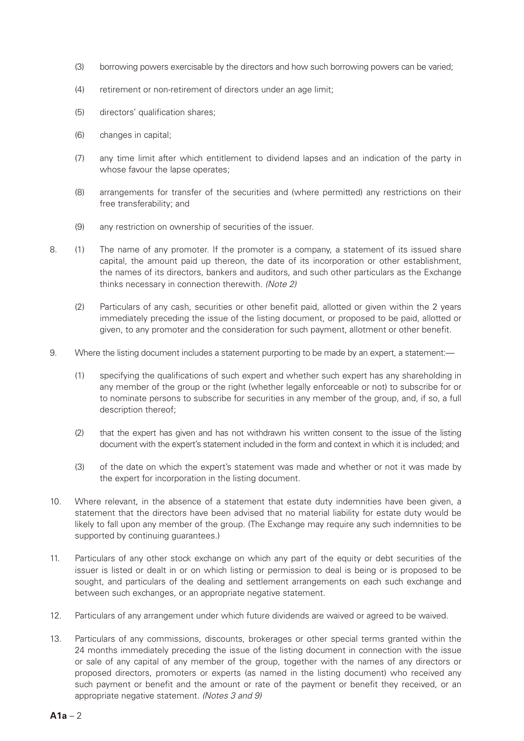- (3) borrowing powers exercisable by the directors and how such borrowing powers can be varied;
- (4) retirement or non-retirement of directors under an age limit;
- (5) directors' qualification shares;
- (6) changes in capital;
- (7) any time limit after which entitlement to dividend lapses and an indication of the party in whose favour the lapse operates;
- (8) arrangements for transfer of the securities and (where permitted) any restrictions on their free transferability; and
- (9) any restriction on ownership of securities of the issuer.
- 8. (1) The name of any promoter. If the promoter is a company, a statement of its issued share capital, the amount paid up thereon, the date of its incorporation or other establishment, the names of its directors, bankers and auditors, and such other particulars as the Exchange thinks necessary in connection therewith. *(Note 2)*
	- (2) Particulars of any cash, securities or other benefit paid, allotted or given within the 2 years immediately preceding the issue of the listing document, or proposed to be paid, allotted or given, to any promoter and the consideration for such payment, allotment or other benefit.
- 9. Where the listing document includes a statement purporting to be made by an expert, a statement:—
	- (1) specifying the qualifications of such expert and whether such expert has any shareholding in any member of the group or the right (whether legally enforceable or not) to subscribe for or to nominate persons to subscribe for securities in any member of the group, and, if so, a full description thereof;
	- (2) that the expert has given and has not withdrawn his written consent to the issue of the listing document with the expert's statement included in the form and context in which it is included; and
	- (3) of the date on which the expert's statement was made and whether or not it was made by the expert for incorporation in the listing document.
- 10. Where relevant, in the absence of a statement that estate duty indemnities have been given, a statement that the directors have been advised that no material liability for estate duty would be likely to fall upon any member of the group. (The Exchange may require any such indemnities to be supported by continuing guarantees.)
- 11. Particulars of any other stock exchange on which any part of the equity or debt securities of the issuer is listed or dealt in or on which listing or permission to deal is being or is proposed to be sought, and particulars of the dealing and settlement arrangements on each such exchange and between such exchanges, or an appropriate negative statement.
- 12. Particulars of any arrangement under which future dividends are waived or agreed to be waived.
- 13. Particulars of any commissions, discounts, brokerages or other special terms granted within the 24 months immediately preceding the issue of the listing document in connection with the issue or sale of any capital of any member of the group, together with the names of any directors or proposed directors, promoters or experts (as named in the listing document) who received any such payment or benefit and the amount or rate of the payment or benefit they received, or an appropriate negative statement. *(Notes 3 and 9)*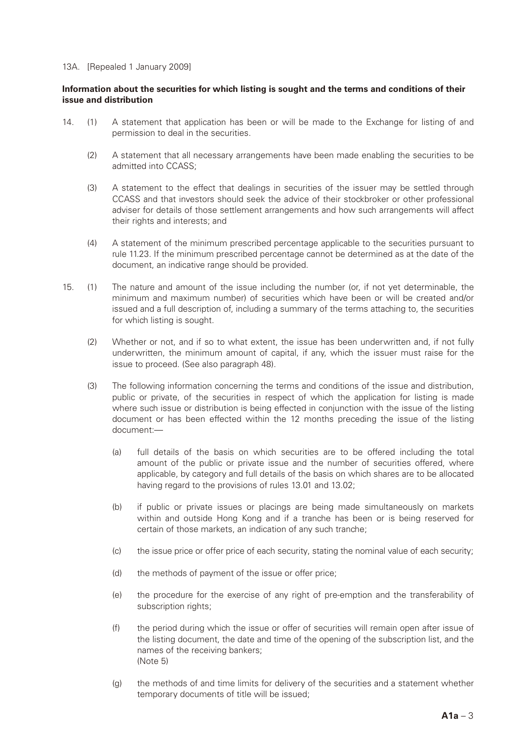#### 13A. [Repealed 1 January 2009]

## **Information about the securities for which listing is sought and the terms and conditions of their issue and distribution**

- 14. (1) A statement that application has been or will be made to the Exchange for listing of and permission to deal in the securities.
	- (2) A statement that all necessary arrangements have been made enabling the securities to be admitted into CCASS;
	- (3) A statement to the effect that dealings in securities of the issuer may be settled through CCASS and that investors should seek the advice of their stockbroker or other professional adviser for details of those settlement arrangements and how such arrangements will affect their rights and interests; and
	- (4) A statement of the minimum prescribed percentage applicable to the securities pursuant to rule 11.23. If the minimum prescribed percentage cannot be determined as at the date of the document, an indicative range should be provided.
- 15. (1) The nature and amount of the issue including the number (or, if not yet determinable, the minimum and maximum number) of securities which have been or will be created and/or issued and a full description of, including a summary of the terms attaching to, the securities for which listing is sought.
	- (2) Whether or not, and if so to what extent, the issue has been underwritten and, if not fully underwritten, the minimum amount of capital, if any, which the issuer must raise for the issue to proceed. (See also paragraph 48).
	- (3) The following information concerning the terms and conditions of the issue and distribution, public or private, of the securities in respect of which the application for listing is made where such issue or distribution is being effected in conjunction with the issue of the listing document or has been effected within the 12 months preceding the issue of the listing document:—
		- (a) full details of the basis on which securities are to be offered including the total amount of the public or private issue and the number of securities offered, where applicable, by category and full details of the basis on which shares are to be allocated having regard to the provisions of rules 13.01 and 13.02;
		- (b) if public or private issues or placings are being made simultaneously on markets within and outside Hong Kong and if a tranche has been or is being reserved for certain of those markets, an indication of any such tranche;
		- (c) the issue price or offer price of each security, stating the nominal value of each security;
		- (d) the methods of payment of the issue or offer price;
		- (e) the procedure for the exercise of any right of pre-emption and the transferability of subscription rights;
		- (f) the period during which the issue or offer of securities will remain open after issue of the listing document, the date and time of the opening of the subscription list, and the names of the receiving bankers; (Note 5)
		- (g) the methods of and time limits for delivery of the securities and a statement whether temporary documents of title will be issued;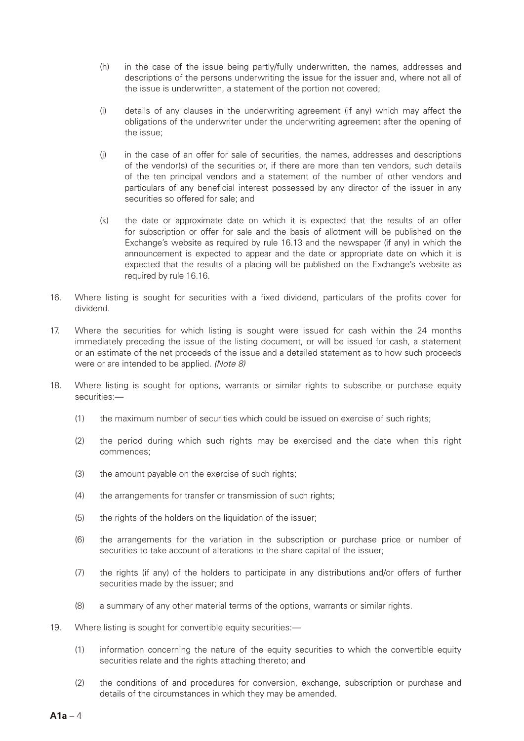- (h) in the case of the issue being partly/fully underwritten, the names, addresses and descriptions of the persons underwriting the issue for the issuer and, where not all of the issue is underwritten, a statement of the portion not covered;
- (i) details of any clauses in the underwriting agreement (if any) which may affect the obligations of the underwriter under the underwriting agreement after the opening of the issue;
- (j) in the case of an offer for sale of securities, the names, addresses and descriptions of the vendor(s) of the securities or, if there are more than ten vendors, such details of the ten principal vendors and a statement of the number of other vendors and particulars of any beneficial interest possessed by any director of the issuer in any securities so offered for sale; and
- (k) the date or approximate date on which it is expected that the results of an offer for subscription or offer for sale and the basis of allotment will be published on the Exchange's website as required by rule 16.13 and the newspaper (if any) in which the announcement is expected to appear and the date or appropriate date on which it is expected that the results of a placing will be published on the Exchange's website as required by rule 16.16.
- 16. Where listing is sought for securities with a fixed dividend, particulars of the profits cover for dividend.
- 17. Where the securities for which listing is sought were issued for cash within the 24 months immediately preceding the issue of the listing document, or will be issued for cash, a statement or an estimate of the net proceeds of the issue and a detailed statement as to how such proceeds were or are intended to be applied. *(Note 8)*
- 18. Where listing is sought for options, warrants or similar rights to subscribe or purchase equity securities:—
	- (1) the maximum number of securities which could be issued on exercise of such rights;
	- (2) the period during which such rights may be exercised and the date when this right commences;
	- (3) the amount payable on the exercise of such rights;
	- (4) the arrangements for transfer or transmission of such rights;
	- (5) the rights of the holders on the liquidation of the issuer;
	- (6) the arrangements for the variation in the subscription or purchase price or number of securities to take account of alterations to the share capital of the issuer;
	- (7) the rights (if any) of the holders to participate in any distributions and/or offers of further securities made by the issuer; and
	- (8) a summary of any other material terms of the options, warrants or similar rights.
- 19. Where listing is sought for convertible equity securities:—
	- (1) information concerning the nature of the equity securities to which the convertible equity securities relate and the rights attaching thereto; and
	- (2) the conditions of and procedures for conversion, exchange, subscription or purchase and details of the circumstances in which they may be amended.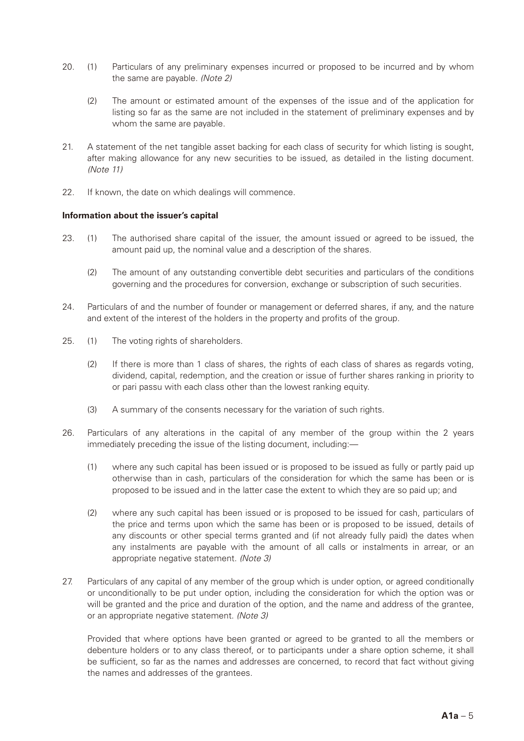- 20. (1) Particulars of any preliminary expenses incurred or proposed to be incurred and by whom the same are payable. *(Note 2)*
	- (2) The amount or estimated amount of the expenses of the issue and of the application for listing so far as the same are not included in the statement of preliminary expenses and by whom the same are payable.
- 21. A statement of the net tangible asset backing for each class of security for which listing is sought, after making allowance for any new securities to be issued, as detailed in the listing document. *(Note 11)*
- 22. If known, the date on which dealings will commence.

#### **Information about the issuer's capital**

- 23. (1) The authorised share capital of the issuer, the amount issued or agreed to be issued, the amount paid up, the nominal value and a description of the shares.
	- (2) The amount of any outstanding convertible debt securities and particulars of the conditions governing and the procedures for conversion, exchange or subscription of such securities.
- 24. Particulars of and the number of founder or management or deferred shares, if any, and the nature and extent of the interest of the holders in the property and profits of the group.
- 25. (1) The voting rights of shareholders.
	- (2) If there is more than 1 class of shares, the rights of each class of shares as regards voting, dividend, capital, redemption, and the creation or issue of further shares ranking in priority to or pari passu with each class other than the lowest ranking equity.
	- (3) A summary of the consents necessary for the variation of such rights.
- 26. Particulars of any alterations in the capital of any member of the group within the 2 years immediately preceding the issue of the listing document, including:—
	- (1) where any such capital has been issued or is proposed to be issued as fully or partly paid up otherwise than in cash, particulars of the consideration for which the same has been or is proposed to be issued and in the latter case the extent to which they are so paid up; and
	- (2) where any such capital has been issued or is proposed to be issued for cash, particulars of the price and terms upon which the same has been or is proposed to be issued, details of any discounts or other special terms granted and (if not already fully paid) the dates when any instalments are payable with the amount of all calls or instalments in arrear, or an appropriate negative statement. *(Note 3)*
- 27. Particulars of any capital of any member of the group which is under option, or agreed conditionally or unconditionally to be put under option, including the consideration for which the option was or will be granted and the price and duration of the option, and the name and address of the grantee, or an appropriate negative statement. *(Note 3)*

Provided that where options have been granted or agreed to be granted to all the members or debenture holders or to any class thereof, or to participants under a share option scheme, it shall be sufficient, so far as the names and addresses are concerned, to record that fact without giving the names and addresses of the grantees.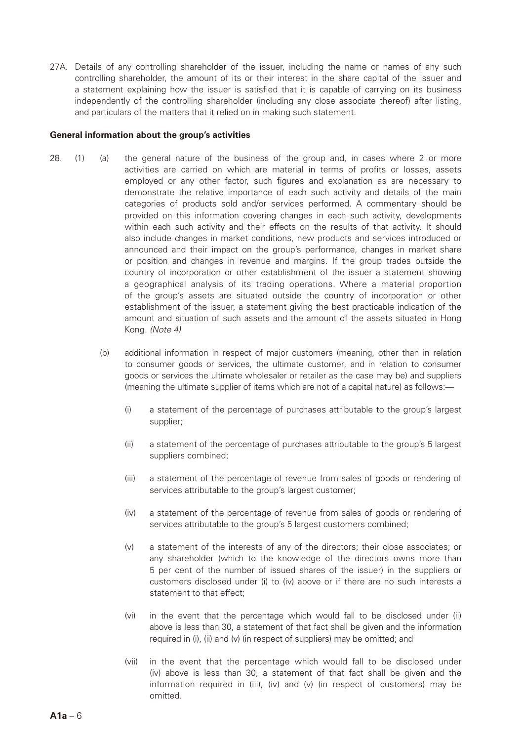27A. Details of any controlling shareholder of the issuer, including the name or names of any such controlling shareholder, the amount of its or their interest in the share capital of the issuer and a statement explaining how the issuer is satisfied that it is capable of carrying on its business independently of the controlling shareholder (including any close associate thereof) after listing, and particulars of the matters that it relied on in making such statement.

#### **General information about the group's activities**

- 28. (1) (a) the general nature of the business of the group and, in cases where 2 or more activities are carried on which are material in terms of profits or losses, assets employed or any other factor, such figures and explanation as are necessary to demonstrate the relative importance of each such activity and details of the main categories of products sold and/or services performed. A commentary should be provided on this information covering changes in each such activity, developments within each such activity and their effects on the results of that activity. It should also include changes in market conditions, new products and services introduced or announced and their impact on the group's performance, changes in market share or position and changes in revenue and margins. If the group trades outside the country of incorporation or other establishment of the issuer a statement showing a geographical analysis of its trading operations. Where a material proportion of the group's assets are situated outside the country of incorporation or other establishment of the issuer, a statement giving the best practicable indication of the amount and situation of such assets and the amount of the assets situated in Hong Kong. *(Note 4)*
	- (b) additional information in respect of major customers (meaning, other than in relation to consumer goods or services, the ultimate customer, and in relation to consumer goods or services the ultimate wholesaler or retailer as the case may be) and suppliers (meaning the ultimate supplier of items which are not of a capital nature) as follows:—
		- (i) a statement of the percentage of purchases attributable to the group's largest supplier;
		- (ii) a statement of the percentage of purchases attributable to the group's 5 largest suppliers combined;
		- (iii) a statement of the percentage of revenue from sales of goods or rendering of services attributable to the group's largest customer;
		- (iv) a statement of the percentage of revenue from sales of goods or rendering of services attributable to the group's 5 largest customers combined;
		- (v) a statement of the interests of any of the directors; their close associates; or any shareholder (which to the knowledge of the directors owns more than 5 per cent of the number of issued shares of the issuer) in the suppliers or customers disclosed under (i) to (iv) above or if there are no such interests a statement to that effect;
		- (vi) in the event that the percentage which would fall to be disclosed under (ii) above is less than 30, a statement of that fact shall be given and the information required in (i), (ii) and (v) (in respect of suppliers) may be omitted; and
		- (vii) in the event that the percentage which would fall to be disclosed under (iv) above is less than 30, a statement of that fact shall be given and the information required in (iii), (iv) and (v) (in respect of customers) may be omitted.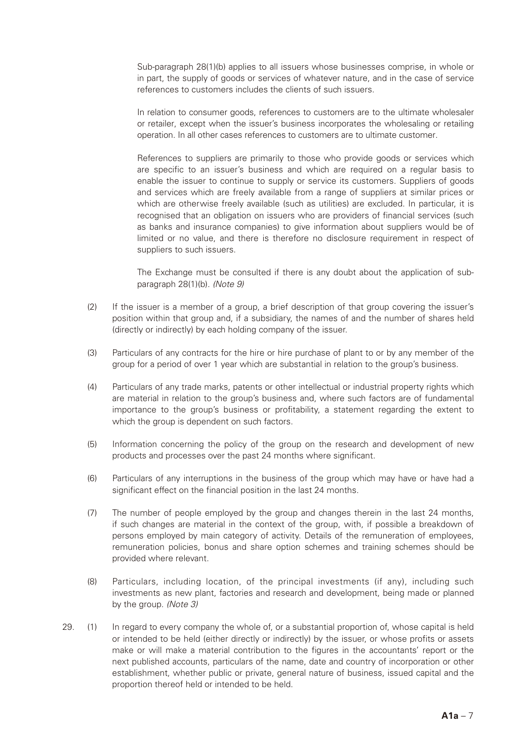Sub-paragraph 28(1)(b) applies to all issuers whose businesses comprise, in whole or in part, the supply of goods or services of whatever nature, and in the case of service references to customers includes the clients of such issuers.

In relation to consumer goods, references to customers are to the ultimate wholesaler or retailer, except when the issuer's business incorporates the wholesaling or retailing operation. In all other cases references to customers are to ultimate customer.

References to suppliers are primarily to those who provide goods or services which are specific to an issuer's business and which are required on a regular basis to enable the issuer to continue to supply or service its customers. Suppliers of goods and services which are freely available from a range of suppliers at similar prices or which are otherwise freely available (such as utilities) are excluded. In particular, it is recognised that an obligation on issuers who are providers of financial services (such as banks and insurance companies) to give information about suppliers would be of limited or no value, and there is therefore no disclosure requirement in respect of suppliers to such issuers.

The Exchange must be consulted if there is any doubt about the application of subparagraph 28(1)(b). *(Note 9)*

- (2) If the issuer is a member of a group, a brief description of that group covering the issuer's position within that group and, if a subsidiary, the names of and the number of shares held (directly or indirectly) by each holding company of the issuer.
- (3) Particulars of any contracts for the hire or hire purchase of plant to or by any member of the group for a period of over 1 year which are substantial in relation to the group's business.
- (4) Particulars of any trade marks, patents or other intellectual or industrial property rights which are material in relation to the group's business and, where such factors are of fundamental importance to the group's business or profitability, a statement regarding the extent to which the group is dependent on such factors.
- (5) Information concerning the policy of the group on the research and development of new products and processes over the past 24 months where significant.
- (6) Particulars of any interruptions in the business of the group which may have or have had a significant effect on the financial position in the last 24 months.
- (7) The number of people employed by the group and changes therein in the last 24 months, if such changes are material in the context of the group, with, if possible a breakdown of persons employed by main category of activity. Details of the remuneration of employees, remuneration policies, bonus and share option schemes and training schemes should be provided where relevant.
- (8) Particulars, including location, of the principal investments (if any), including such investments as new plant, factories and research and development, being made or planned by the group. *(Note 3)*
- 29. (1) In regard to every company the whole of, or a substantial proportion of, whose capital is held or intended to be held (either directly or indirectly) by the issuer, or whose profits or assets make or will make a material contribution to the figures in the accountants' report or the next published accounts, particulars of the name, date and country of incorporation or other establishment, whether public or private, general nature of business, issued capital and the proportion thereof held or intended to be held.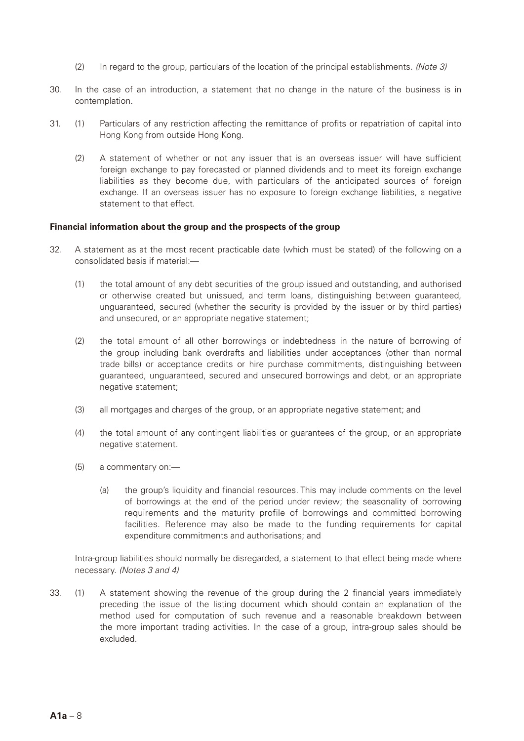- (2) In regard to the group, particulars of the location of the principal establishments. *(Note 3)*
- 30. In the case of an introduction, a statement that no change in the nature of the business is in contemplation.
- 31. (1) Particulars of any restriction affecting the remittance of profits or repatriation of capital into Hong Kong from outside Hong Kong.
	- (2) A statement of whether or not any issuer that is an overseas issuer will have sufficient foreign exchange to pay forecasted or planned dividends and to meet its foreign exchange liabilities as they become due, with particulars of the anticipated sources of foreign exchange. If an overseas issuer has no exposure to foreign exchange liabilities, a negative statement to that effect.

#### **Financial information about the group and the prospects of the group**

- 32. A statement as at the most recent practicable date (which must be stated) of the following on a consolidated basis if material:—
	- (1) the total amount of any debt securities of the group issued and outstanding, and authorised or otherwise created but unissued, and term loans, distinguishing between guaranteed, unguaranteed, secured (whether the security is provided by the issuer or by third parties) and unsecured, or an appropriate negative statement;
	- (2) the total amount of all other borrowings or indebtedness in the nature of borrowing of the group including bank overdrafts and liabilities under acceptances (other than normal trade bills) or acceptance credits or hire purchase commitments, distinguishing between guaranteed, unguaranteed, secured and unsecured borrowings and debt, or an appropriate negative statement;
	- (3) all mortgages and charges of the group, or an appropriate negative statement; and
	- (4) the total amount of any contingent liabilities or guarantees of the group, or an appropriate negative statement.
	- (5) a commentary on:—
		- (a) the group's liquidity and financial resources. This may include comments on the level of borrowings at the end of the period under review; the seasonality of borrowing requirements and the maturity profile of borrowings and committed borrowing facilities. Reference may also be made to the funding requirements for capital expenditure commitments and authorisations; and

Intra-group liabilities should normally be disregarded, a statement to that effect being made where necessary. *(Notes 3 and 4)*

33. (1) A statement showing the revenue of the group during the 2 financial years immediately preceding the issue of the listing document which should contain an explanation of the method used for computation of such revenue and a reasonable breakdown between the more important trading activities. In the case of a group, intra-group sales should be excluded.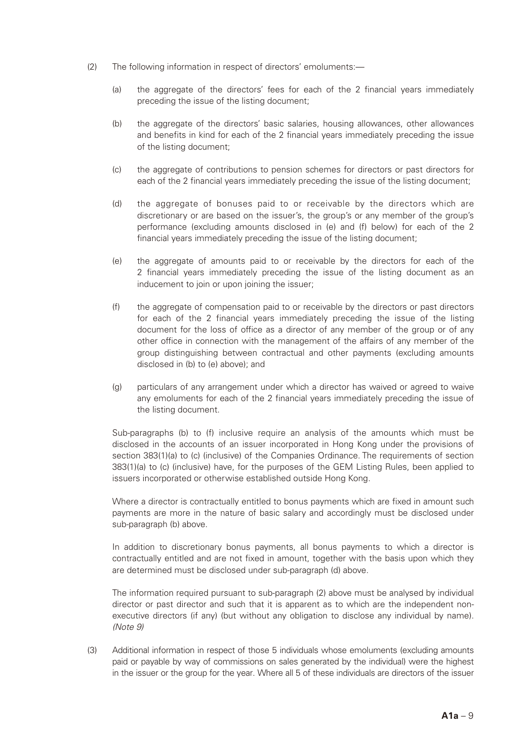- (2) The following information in respect of directors' emoluments:—
	- (a) the aggregate of the directors' fees for each of the 2 financial years immediately preceding the issue of the listing document;
	- (b) the aggregate of the directors' basic salaries, housing allowances, other allowances and benefits in kind for each of the 2 financial years immediately preceding the issue of the listing document;
	- (c) the aggregate of contributions to pension schemes for directors or past directors for each of the 2 financial years immediately preceding the issue of the listing document;
	- (d) the aggregate of bonuses paid to or receivable by the directors which are discretionary or are based on the issuer's, the group's or any member of the group's performance (excluding amounts disclosed in (e) and (f) below) for each of the 2 financial years immediately preceding the issue of the listing document;
	- (e) the aggregate of amounts paid to or receivable by the directors for each of the 2 financial years immediately preceding the issue of the listing document as an inducement to join or upon joining the issuer;
	- (f) the aggregate of compensation paid to or receivable by the directors or past directors for each of the 2 financial years immediately preceding the issue of the listing document for the loss of office as a director of any member of the group or of any other office in connection with the management of the affairs of any member of the group distinguishing between contractual and other payments (excluding amounts disclosed in (b) to (e) above); and
	- (g) particulars of any arrangement under which a director has waived or agreed to waive any emoluments for each of the 2 financial years immediately preceding the issue of the listing document.

Sub-paragraphs (b) to (f) inclusive require an analysis of the amounts which must be disclosed in the accounts of an issuer incorporated in Hong Kong under the provisions of section 383(1)(a) to (c) (inclusive) of the Companies Ordinance. The requirements of section 383(1)(a) to (c) (inclusive) have, for the purposes of the GEM Listing Rules, been applied to issuers incorporated or otherwise established outside Hong Kong.

Where a director is contractually entitled to bonus payments which are fixed in amount such payments are more in the nature of basic salary and accordingly must be disclosed under sub-paragraph (b) above.

In addition to discretionary bonus payments, all bonus payments to which a director is contractually entitled and are not fixed in amount, together with the basis upon which they are determined must be disclosed under sub-paragraph (d) above.

The information required pursuant to sub-paragraph (2) above must be analysed by individual director or past director and such that it is apparent as to which are the independent nonexecutive directors (if any) (but without any obligation to disclose any individual by name). *(Note 9)*

(3) Additional information in respect of those 5 individuals whose emoluments (excluding amounts paid or payable by way of commissions on sales generated by the individual) were the highest in the issuer or the group for the year. Where all 5 of these individuals are directors of the issuer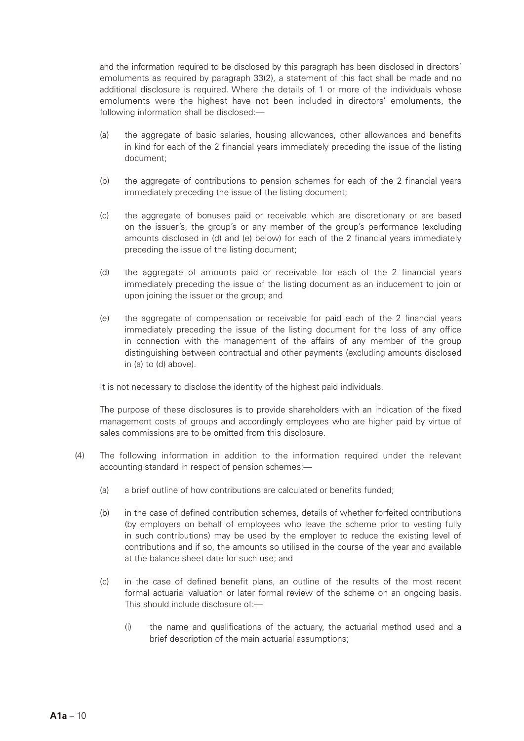and the information required to be disclosed by this paragraph has been disclosed in directors' emoluments as required by paragraph 33(2), a statement of this fact shall be made and no additional disclosure is required. Where the details of 1 or more of the individuals whose emoluments were the highest have not been included in directors' emoluments, the following information shall be disclosed:—

- (a) the aggregate of basic salaries, housing allowances, other allowances and benefits in kind for each of the 2 financial years immediately preceding the issue of the listing document;
- (b) the aggregate of contributions to pension schemes for each of the 2 financial years immediately preceding the issue of the listing document;
- (c) the aggregate of bonuses paid or receivable which are discretionary or are based on the issuer's, the group's or any member of the group's performance (excluding amounts disclosed in (d) and (e) below) for each of the 2 financial years immediately preceding the issue of the listing document;
- (d) the aggregate of amounts paid or receivable for each of the 2 financial years immediately preceding the issue of the listing document as an inducement to join or upon joining the issuer or the group; and
- (e) the aggregate of compensation or receivable for paid each of the 2 financial years immediately preceding the issue of the listing document for the loss of any office in connection with the management of the affairs of any member of the group distinguishing between contractual and other payments (excluding amounts disclosed in (a) to (d) above).

It is not necessary to disclose the identity of the highest paid individuals.

The purpose of these disclosures is to provide shareholders with an indication of the fixed management costs of groups and accordingly employees who are higher paid by virtue of sales commissions are to be omitted from this disclosure.

- (4) The following information in addition to the information required under the relevant accounting standard in respect of pension schemes:—
	- (a) a brief outline of how contributions are calculated or benefits funded;
	- (b) in the case of defined contribution schemes, details of whether forfeited contributions (by employers on behalf of employees who leave the scheme prior to vesting fully in such contributions) may be used by the employer to reduce the existing level of contributions and if so, the amounts so utilised in the course of the year and available at the balance sheet date for such use; and
	- (c) in the case of defined benefit plans, an outline of the results of the most recent formal actuarial valuation or later formal review of the scheme on an ongoing basis. This should include disclosure of:—
		- (i) the name and qualifications of the actuary, the actuarial method used and a brief description of the main actuarial assumptions;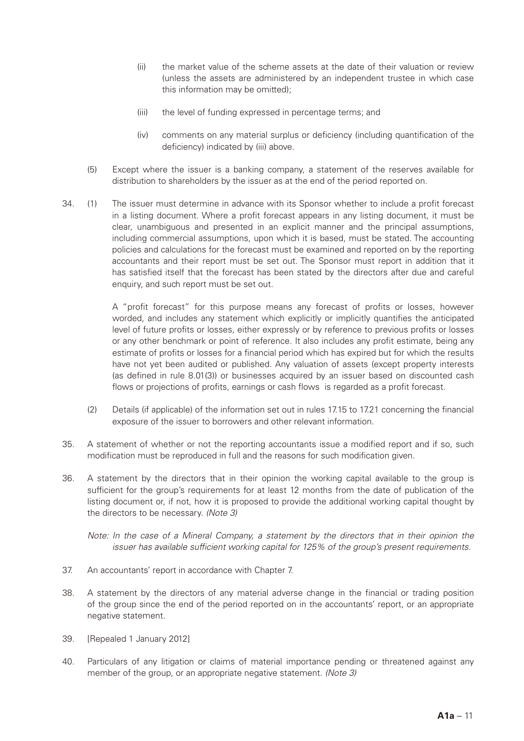- (ii) the market value of the scheme assets at the date of their valuation or review (unless the assets are administered by an independent trustee in which case this information may be omitted);
- (iii) the level of funding expressed in percentage terms; and
- (iv) comments on any material surplus or deficiency (including quantification of the deficiency) indicated by (iii) above.
- (5) Except where the issuer is a banking company, a statement of the reserves available for distribution to shareholders by the issuer as at the end of the period reported on.
- 34. (1) The issuer must determine in advance with its Sponsor whether to include a profit forecast in a listing document. Where a profit forecast appears in any listing document, it must be clear, unambiguous and presented in an explicit manner and the principal assumptions, including commercial assumptions, upon which it is based, must be stated. The accounting policies and calculations for the forecast must be examined and reported on by the reporting accountants and their report must be set out. The Sponsor must report in addition that it has satisfied itself that the forecast has been stated by the directors after due and careful enquiry, and such report must be set out.

A "profit forecast" for this purpose means any forecast of profits or losses, however worded, and includes any statement which explicitly or implicitly quantifies the anticipated level of future profits or losses, either expressly or by reference to previous profits or losses or any other benchmark or point of reference. It also includes any profit estimate, being any estimate of profits or losses for a financial period which has expired but for which the results have not yet been audited or published. Any valuation of assets (except property interests (as defined in rule 8.01(3)) or businesses acquired by an issuer based on discounted cash flows or projections of profits, earnings or cash flows is regarded as a profit forecast.

- (2) Details (if applicable) of the information set out in rules 17.15 to 17.21 concerning the financial exposure of the issuer to borrowers and other relevant information.
- 35. A statement of whether or not the reporting accountants issue a modified report and if so, such modification must be reproduced in full and the reasons for such modification given.
- 36. A statement by the directors that in their opinion the working capital available to the group is sufficient for the group's requirements for at least 12 months from the date of publication of the listing document or, if not, how it is proposed to provide the additional working capital thought by the directors to be necessary. *(Note 3)*

*Note: In the case of a Mineral Company, a statement by the directors that in their opinion the issuer has available sufficient working capital for 125% of the group's present requirements.*

- 37. An accountants' report in accordance with Chapter 7.
- 38. A statement by the directors of any material adverse change in the financial or trading position of the group since the end of the period reported on in the accountants' report, or an appropriate negative statement.
- 39. [Repealed 1 January 2012]
- 40. Particulars of any litigation or claims of material importance pending or threatened against any member of the group, or an appropriate negative statement. *(Note 3)*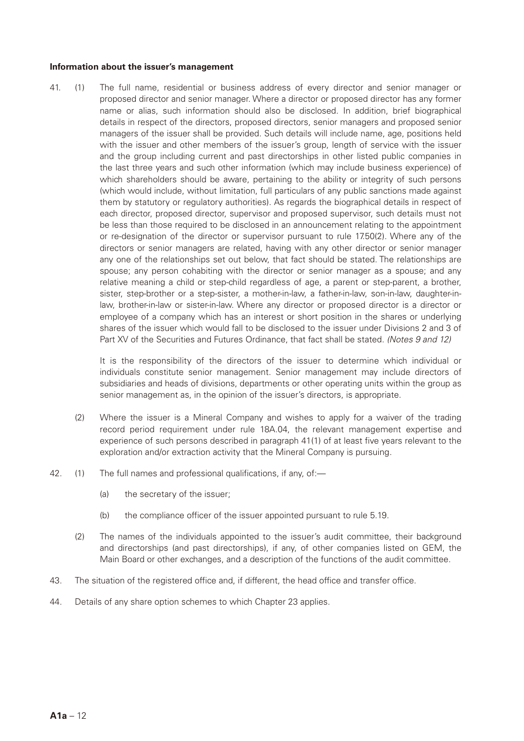#### **Information about the issuer's management**

41. (1) The full name, residential or business address of every director and senior manager or proposed director and senior manager. Where a director or proposed director has any former name or alias, such information should also be disclosed. In addition, brief biographical details in respect of the directors, proposed directors, senior managers and proposed senior managers of the issuer shall be provided. Such details will include name, age, positions held with the issuer and other members of the issuer's group, length of service with the issuer and the group including current and past directorships in other listed public companies in the last three years and such other information (which may include business experience) of which shareholders should be aware, pertaining to the ability or integrity of such persons (which would include, without limitation, full particulars of any public sanctions made against them by statutory or regulatory authorities). As regards the biographical details in respect of each director, proposed director, supervisor and proposed supervisor, such details must not be less than those required to be disclosed in an announcement relating to the appointment or re-designation of the director or supervisor pursuant to rule 17.50(2). Where any of the directors or senior managers are related, having with any other director or senior manager any one of the relationships set out below, that fact should be stated. The relationships are spouse; any person cohabiting with the director or senior manager as a spouse; and any relative meaning a child or step-child regardless of age, a parent or step-parent, a brother, sister, step-brother or a step-sister, a mother-in-law, a father-in-law, son-in-law, daughter-inlaw, brother-in-law or sister-in-law. Where any director or proposed director is a director or employee of a company which has an interest or short position in the shares or underlying shares of the issuer which would fall to be disclosed to the issuer under Divisions 2 and 3 of Part XV of the Securities and Futures Ordinance, that fact shall be stated. *(Notes 9 and 12)*

> It is the responsibility of the directors of the issuer to determine which individual or individuals constitute senior management. Senior management may include directors of subsidiaries and heads of divisions, departments or other operating units within the group as senior management as, in the opinion of the issuer's directors, is appropriate.

- (2) Where the issuer is a Mineral Company and wishes to apply for a waiver of the trading record period requirement under rule 18A.04, the relevant management expertise and experience of such persons described in paragraph 41(1) of at least five years relevant to the exploration and/or extraction activity that the Mineral Company is pursuing.
- 42. (1) The full names and professional qualifications, if any, of:—
	- (a) the secretary of the issuer;
	- (b) the compliance officer of the issuer appointed pursuant to rule 5.19.
	- (2) The names of the individuals appointed to the issuer's audit committee, their background and directorships (and past directorships), if any, of other companies listed on GEM, the Main Board or other exchanges, and a description of the functions of the audit committee.
- 43. The situation of the registered office and, if different, the head office and transfer office.
- 44. Details of any share option schemes to which Chapter 23 applies.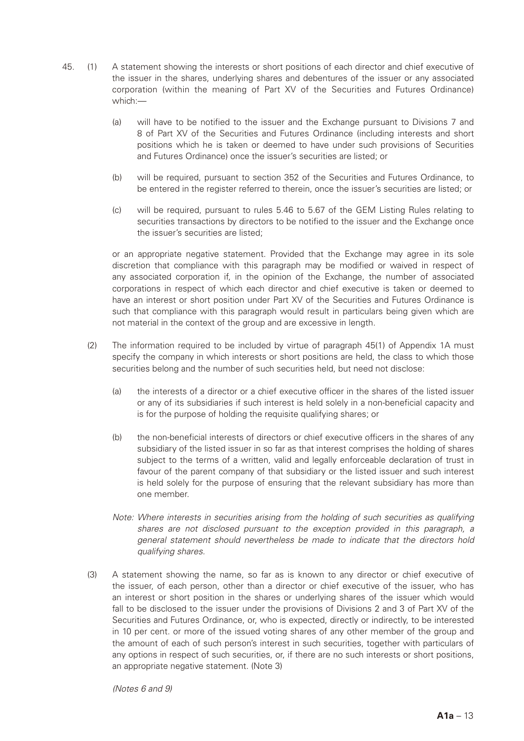- 45. (1) A statement showing the interests or short positions of each director and chief executive of the issuer in the shares, underlying shares and debentures of the issuer or any associated corporation (within the meaning of Part XV of the Securities and Futures Ordinance) which:—
	- (a) will have to be notified to the issuer and the Exchange pursuant to Divisions 7 and 8 of Part XV of the Securities and Futures Ordinance (including interests and short positions which he is taken or deemed to have under such provisions of Securities and Futures Ordinance) once the issuer's securities are listed; or
	- (b) will be required, pursuant to section 352 of the Securities and Futures Ordinance, to be entered in the register referred to therein, once the issuer's securities are listed; or
	- (c) will be required, pursuant to rules 5.46 to 5.67 of the GEM Listing Rules relating to securities transactions by directors to be notified to the issuer and the Exchange once the issuer's securities are listed;

or an appropriate negative statement. Provided that the Exchange may agree in its sole discretion that compliance with this paragraph may be modified or waived in respect of any associated corporation if, in the opinion of the Exchange, the number of associated corporations in respect of which each director and chief executive is taken or deemed to have an interest or short position under Part XV of the Securities and Futures Ordinance is such that compliance with this paragraph would result in particulars being given which are not material in the context of the group and are excessive in length.

- (2) The information required to be included by virtue of paragraph 45(1) of Appendix 1A must specify the company in which interests or short positions are held, the class to which those securities belong and the number of such securities held, but need not disclose:
	- (a) the interests of a director or a chief executive officer in the shares of the listed issuer or any of its subsidiaries if such interest is held solely in a non-beneficial capacity and is for the purpose of holding the requisite qualifying shares; or
	- (b) the non-beneficial interests of directors or chief executive officers in the shares of any subsidiary of the listed issuer in so far as that interest comprises the holding of shares subject to the terms of a written, valid and legally enforceable declaration of trust in favour of the parent company of that subsidiary or the listed issuer and such interest is held solely for the purpose of ensuring that the relevant subsidiary has more than one member.
	- *Note: Where interests in securities arising from the holding of such securities as qualifying shares are not disclosed pursuant to the exception provided in this paragraph, a general statement should nevertheless be made to indicate that the directors hold qualifying shares.*
- (3) A statement showing the name, so far as is known to any director or chief executive of the issuer, of each person, other than a director or chief executive of the issuer, who has an interest or short position in the shares or underlying shares of the issuer which would fall to be disclosed to the issuer under the provisions of Divisions 2 and 3 of Part XV of the Securities and Futures Ordinance, or, who is expected, directly or indirectly, to be interested in 10 per cent. or more of the issued voting shares of any other member of the group and the amount of each of such person's interest in such securities, together with particulars of any options in respect of such securities, or, if there are no such interests or short positions, an appropriate negative statement. (Note 3)

*(Notes 6 and 9)*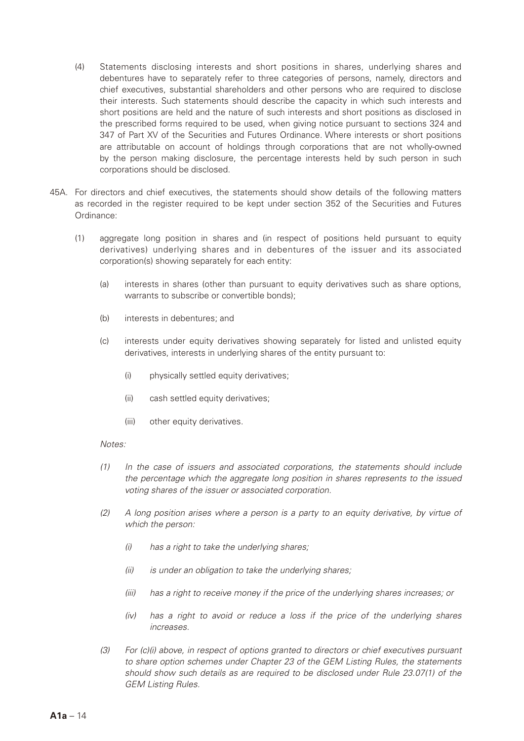- (4) Statements disclosing interests and short positions in shares, underlying shares and debentures have to separately refer to three categories of persons, namely, directors and chief executives, substantial shareholders and other persons who are required to disclose their interests. Such statements should describe the capacity in which such interests and short positions are held and the nature of such interests and short positions as disclosed in the prescribed forms required to be used, when giving notice pursuant to sections 324 and 347 of Part XV of the Securities and Futures Ordinance. Where interests or short positions are attributable on account of holdings through corporations that are not wholly-owned by the person making disclosure, the percentage interests held by such person in such corporations should be disclosed.
- 45A. For directors and chief executives, the statements should show details of the following matters as recorded in the register required to be kept under section 352 of the Securities and Futures Ordinance:
	- (1) aggregate long position in shares and (in respect of positions held pursuant to equity derivatives) underlying shares and in debentures of the issuer and its associated corporation(s) showing separately for each entity:
		- (a) interests in shares (other than pursuant to equity derivatives such as share options, warrants to subscribe or convertible bonds);
		- (b) interests in debentures; and
		- (c) interests under equity derivatives showing separately for listed and unlisted equity derivatives, interests in underlying shares of the entity pursuant to:
			- (i) physically settled equity derivatives;
			- (ii) cash settled equity derivatives;
			- (iii) other equity derivatives.

#### *Notes:*

- *(1) In the case of issuers and associated corporations, the statements should include the percentage which the aggregate long position in shares represents to the issued voting shares of the issuer or associated corporation.*
- *(2) A long position arises where a person is a party to an equity derivative, by virtue of which the person:*
	- *(i) has a right to take the underlying shares;*
	- *(ii) is under an obligation to take the underlying shares;*
	- *(iii) has a right to receive money if the price of the underlying shares increases; or*
	- *(iv) has a right to avoid or reduce a loss if the price of the underlying shares increases.*
- *(3) For (c)(i) above, in respect of options granted to directors or chief executives pursuant to share option schemes under Chapter 23 of the GEM Listing Rules, the statements should show such details as are required to be disclosed under Rule 23.07(1) of the GEM Listing Rules.*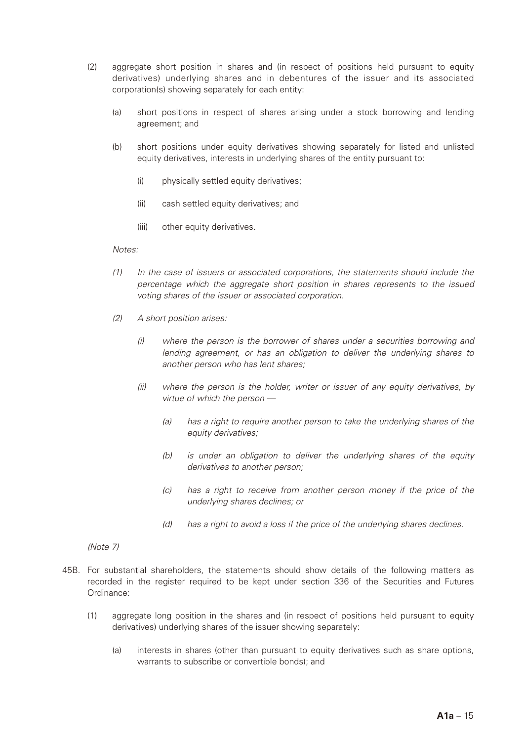- (2) aggregate short position in shares and (in respect of positions held pursuant to equity derivatives) underlying shares and in debentures of the issuer and its associated corporation(s) showing separately for each entity:
	- (a) short positions in respect of shares arising under a stock borrowing and lending agreement; and
	- (b) short positions under equity derivatives showing separately for listed and unlisted equity derivatives, interests in underlying shares of the entity pursuant to:
		- (i) physically settled equity derivatives;
		- (ii) cash settled equity derivatives; and
		- (iii) other equity derivatives.

#### *Notes:*

- *(1) In the case of issuers or associated corporations, the statements should include the percentage which the aggregate short position in shares represents to the issued voting shares of the issuer or associated corporation.*
- *(2) A short position arises:*
	- *(i) where the person is the borrower of shares under a securities borrowing and lending agreement, or has an obligation to deliver the underlying shares to another person who has lent shares;*
	- *(ii) where the person is the holder, writer or issuer of any equity derivatives, by virtue of which the person —*
		- *(a) has a right to require another person to take the underlying shares of the equity derivatives;*
		- *(b) is under an obligation to deliver the underlying shares of the equity derivatives to another person;*
		- *(c) has a right to receive from another person money if the price of the underlying shares declines; or*
		- *(d) has a right to avoid a loss if the price of the underlying shares declines.*

#### *(Note 7)*

- 45B. For substantial shareholders, the statements should show details of the following matters as recorded in the register required to be kept under section 336 of the Securities and Futures Ordinance:
	- (1) aggregate long position in the shares and (in respect of positions held pursuant to equity derivatives) underlying shares of the issuer showing separately:
		- (a) interests in shares (other than pursuant to equity derivatives such as share options, warrants to subscribe or convertible bonds); and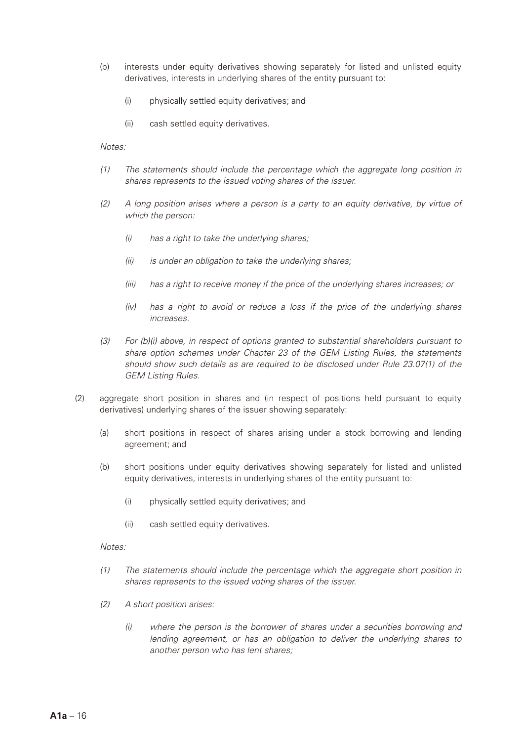- (b) interests under equity derivatives showing separately for listed and unlisted equity derivatives, interests in underlying shares of the entity pursuant to:
	- (i) physically settled equity derivatives; and
	- (ii) cash settled equity derivatives.

*Notes:*

- *(1) The statements should include the percentage which the aggregate long position in shares represents to the issued voting shares of the issuer.*
- *(2) A long position arises where a person is a party to an equity derivative, by virtue of which the person:*
	- *(i) has a right to take the underlying shares;*
	- *(ii) is under an obligation to take the underlying shares;*
	- *(iii) has a right to receive money if the price of the underlying shares increases; or*
	- *(iv) has a right to avoid or reduce a loss if the price of the underlying shares increases.*
- *(3) For (b)(i) above, in respect of options granted to substantial shareholders pursuant to share option schemes under Chapter 23 of the GEM Listing Rules, the statements should show such details as are required to be disclosed under Rule 23.07(1) of the GEM Listing Rules.*
- (2) aggregate short position in shares and (in respect of positions held pursuant to equity derivatives) underlying shares of the issuer showing separately:
	- (a) short positions in respect of shares arising under a stock borrowing and lending agreement; and
	- (b) short positions under equity derivatives showing separately for listed and unlisted equity derivatives, interests in underlying shares of the entity pursuant to:
		- (i) physically settled equity derivatives; and
		- (ii) cash settled equity derivatives.

*Notes:*

- *(1) The statements should include the percentage which the aggregate short position in shares represents to the issued voting shares of the issuer.*
- *(2) A short position arises:*
	- *(i) where the person is the borrower of shares under a securities borrowing and lending agreement, or has an obligation to deliver the underlying shares to another person who has lent shares;*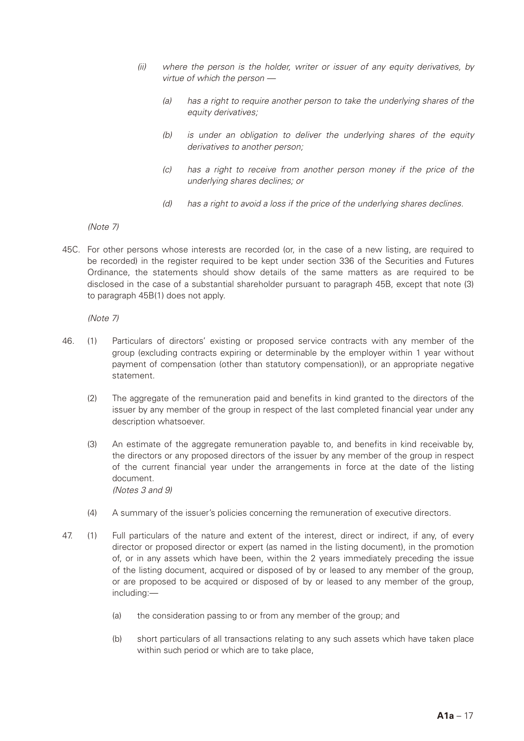- *(ii) where the person is the holder, writer or issuer of any equity derivatives, by virtue of which the person —*
	- *(a) has a right to require another person to take the underlying shares of the equity derivatives;*
	- *(b) is under an obligation to deliver the underlying shares of the equity derivatives to another person;*
	- *(c) has a right to receive from another person money if the price of the underlying shares declines; or*
	- *(d) has a right to avoid a loss if the price of the underlying shares declines.*

*(Note 7)*

45C. For other persons whose interests are recorded (or, in the case of a new listing, are required to be recorded) in the register required to be kept under section 336 of the Securities and Futures Ordinance, the statements should show details of the same matters as are required to be disclosed in the case of a substantial shareholder pursuant to paragraph 45B, except that note (3) to paragraph 45B(1) does not apply.

*(Note 7)*

- 46. (1) Particulars of directors' existing or proposed service contracts with any member of the group (excluding contracts expiring or determinable by the employer within 1 year without payment of compensation (other than statutory compensation)), or an appropriate negative statement.
	- (2) The aggregate of the remuneration paid and benefits in kind granted to the directors of the issuer by any member of the group in respect of the last completed financial year under any description whatsoever.
	- (3) An estimate of the aggregate remuneration payable to, and benefits in kind receivable by, the directors or any proposed directors of the issuer by any member of the group in respect of the current financial year under the arrangements in force at the date of the listing document. *(Notes 3 and 9)*
	- (4) A summary of the issuer's policies concerning the remuneration of executive directors.
- 47. (1) Full particulars of the nature and extent of the interest, direct or indirect, if any, of every director or proposed director or expert (as named in the listing document), in the promotion of, or in any assets which have been, within the 2 years immediately preceding the issue of the listing document, acquired or disposed of by or leased to any member of the group, or are proposed to be acquired or disposed of by or leased to any member of the group, including:—
	- (a) the consideration passing to or from any member of the group; and
	- (b) short particulars of all transactions relating to any such assets which have taken place within such period or which are to take place,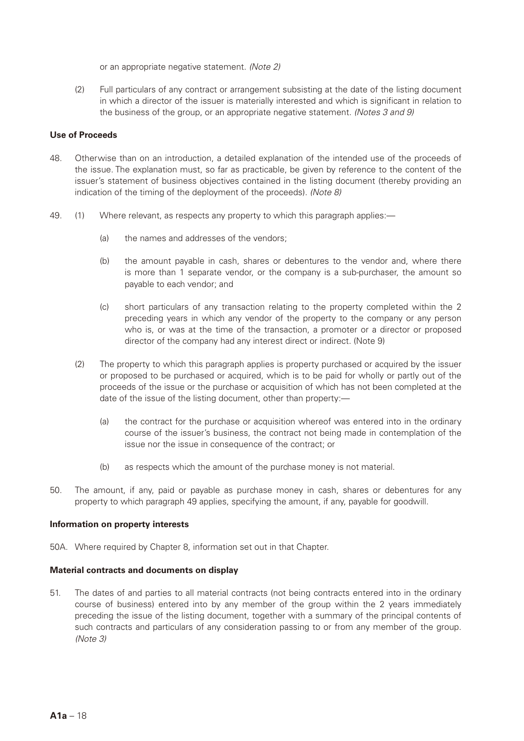or an appropriate negative statement. *(Note 2)*

(2) Full particulars of any contract or arrangement subsisting at the date of the listing document in which a director of the issuer is materially interested and which is significant in relation to the business of the group, or an appropriate negative statement. *(Notes 3 and 9)*

## **Use of Proceeds**

- 48. Otherwise than on an introduction, a detailed explanation of the intended use of the proceeds of the issue. The explanation must, so far as practicable, be given by reference to the content of the issuer's statement of business objectives contained in the listing document (thereby providing an indication of the timing of the deployment of the proceeds). *(Note 8)*
- 49. (1) Where relevant, as respects any property to which this paragraph applies:—
	- (a) the names and addresses of the vendors;
	- (b) the amount payable in cash, shares or debentures to the vendor and, where there is more than 1 separate vendor, or the company is a sub-purchaser, the amount so payable to each vendor; and
	- (c) short particulars of any transaction relating to the property completed within the 2 preceding years in which any vendor of the property to the company or any person who is, or was at the time of the transaction, a promoter or a director or proposed director of the company had any interest direct or indirect. (Note 9)
	- (2) The property to which this paragraph applies is property purchased or acquired by the issuer or proposed to be purchased or acquired, which is to be paid for wholly or partly out of the proceeds of the issue or the purchase or acquisition of which has not been completed at the date of the issue of the listing document, other than property:—
		- (a) the contract for the purchase or acquisition whereof was entered into in the ordinary course of the issuer's business, the contract not being made in contemplation of the issue nor the issue in consequence of the contract; or
		- (b) as respects which the amount of the purchase money is not material.
- 50. The amount, if any, paid or payable as purchase money in cash, shares or debentures for any property to which paragraph 49 applies, specifying the amount, if any, payable for goodwill.

## **Information on property interests**

50A. Where required by Chapter 8, information set out in that Chapter.

## **Material contracts and documents on display**

51. The dates of and parties to all material contracts (not being contracts entered into in the ordinary course of business) entered into by any member of the group within the 2 years immediately preceding the issue of the listing document, together with a summary of the principal contents of such contracts and particulars of any consideration passing to or from any member of the group. *(Note 3)*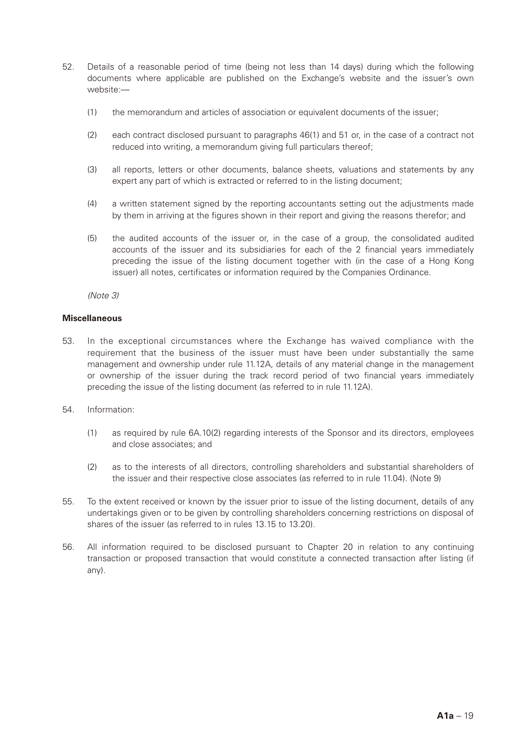- 52. Details of a reasonable period of time (being not less than 14 days) during which the following documents where applicable are published on the Exchange's website and the issuer's own website:—
	- (1) the memorandum and articles of association or equivalent documents of the issuer;
	- (2) each contract disclosed pursuant to paragraphs 46(1) and 51 or, in the case of a contract not reduced into writing, a memorandum giving full particulars thereof;
	- (3) all reports, letters or other documents, balance sheets, valuations and statements by any expert any part of which is extracted or referred to in the listing document;
	- (4) a written statement signed by the reporting accountants setting out the adjustments made by them in arriving at the figures shown in their report and giving the reasons therefor; and
	- (5) the audited accounts of the issuer or, in the case of a group, the consolidated audited accounts of the issuer and its subsidiaries for each of the 2 financial years immediately preceding the issue of the listing document together with (in the case of a Hong Kong issuer) all notes, certificates or information required by the Companies Ordinance.

*(Note 3)*

#### **Miscellaneous**

- 53. In the exceptional circumstances where the Exchange has waived compliance with the requirement that the business of the issuer must have been under substantially the same management and ownership under rule 11.12A, details of any material change in the management or ownership of the issuer during the track record period of two financial years immediately preceding the issue of the listing document (as referred to in rule 11.12A).
- 54. Information:
	- (1) as required by rule 6A.10(2) regarding interests of the Sponsor and its directors, employees and close associates; and
	- (2) as to the interests of all directors, controlling shareholders and substantial shareholders of the issuer and their respective close associates (as referred to in rule 11.04). (Note 9)
- 55. To the extent received or known by the issuer prior to issue of the listing document, details of any undertakings given or to be given by controlling shareholders concerning restrictions on disposal of shares of the issuer (as referred to in rules 13.15 to 13.20).
- 56. All information required to be disclosed pursuant to Chapter 20 in relation to any continuing transaction or proposed transaction that would constitute a connected transaction after listing (if any).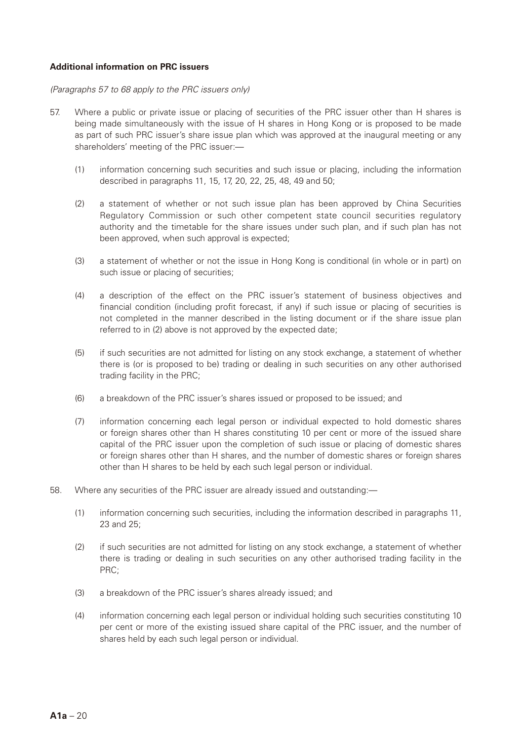## **Additional information on PRC issuers**

#### *(Paragraphs 57 to 68 apply to the PRC issuers only)*

- 57. Where a public or private issue or placing of securities of the PRC issuer other than H shares is being made simultaneously with the issue of H shares in Hong Kong or is proposed to be made as part of such PRC issuer's share issue plan which was approved at the inaugural meeting or any shareholders' meeting of the PRC issuer:—
	- (1) information concerning such securities and such issue or placing, including the information described in paragraphs 11, 15, 17, 20, 22, 25, 48, 49 and 50;
	- (2) a statement of whether or not such issue plan has been approved by China Securities Regulatory Commission or such other competent state council securities regulatory authority and the timetable for the share issues under such plan, and if such plan has not been approved, when such approval is expected;
	- (3) a statement of whether or not the issue in Hong Kong is conditional (in whole or in part) on such issue or placing of securities;
	- (4) a description of the effect on the PRC issuer's statement of business objectives and financial condition (including profit forecast, if any) if such issue or placing of securities is not completed in the manner described in the listing document or if the share issue plan referred to in (2) above is not approved by the expected date;
	- (5) if such securities are not admitted for listing on any stock exchange, a statement of whether there is (or is proposed to be) trading or dealing in such securities on any other authorised trading facility in the PRC;
	- (6) a breakdown of the PRC issuer's shares issued or proposed to be issued; and
	- (7) information concerning each legal person or individual expected to hold domestic shares or foreign shares other than H shares constituting 10 per cent or more of the issued share capital of the PRC issuer upon the completion of such issue or placing of domestic shares or foreign shares other than H shares, and the number of domestic shares or foreign shares other than H shares to be held by each such legal person or individual.
- 58. Where any securities of the PRC issuer are already issued and outstanding:—
	- (1) information concerning such securities, including the information described in paragraphs 11, 23 and 25;
	- (2) if such securities are not admitted for listing on any stock exchange, a statement of whether there is trading or dealing in such securities on any other authorised trading facility in the PRC;
	- (3) a breakdown of the PRC issuer's shares already issued; and
	- (4) information concerning each legal person or individual holding such securities constituting 10 per cent or more of the existing issued share capital of the PRC issuer, and the number of shares held by each such legal person or individual.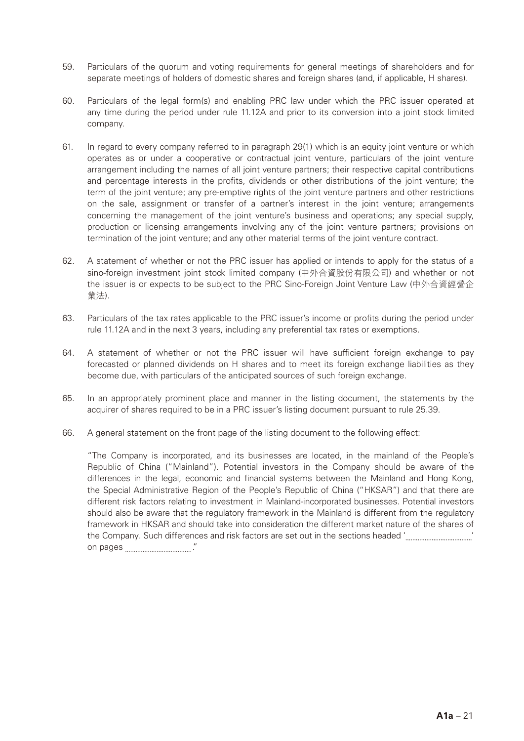- 59. Particulars of the quorum and voting requirements for general meetings of shareholders and for separate meetings of holders of domestic shares and foreign shares (and, if applicable, H shares).
- 60. Particulars of the legal form(s) and enabling PRC law under which the PRC issuer operated at any time during the period under rule 11.12A and prior to its conversion into a joint stock limited company.
- 61. In regard to every company referred to in paragraph 29(1) which is an equity joint venture or which operates as or under a cooperative or contractual joint venture, particulars of the joint venture arrangement including the names of all joint venture partners; their respective capital contributions and percentage interests in the profits, dividends or other distributions of the joint venture; the term of the joint venture; any pre-emptive rights of the joint venture partners and other restrictions on the sale, assignment or transfer of a partner's interest in the joint venture; arrangements concerning the management of the joint venture's business and operations; any special supply, production or licensing arrangements involving any of the joint venture partners; provisions on termination of the joint venture; and any other material terms of the joint venture contract.
- 62. A statement of whether or not the PRC issuer has applied or intends to apply for the status of a sino-foreign investment joint stock limited company (中外合資股份有限公司) and whether or not the issuer is or expects to be subject to the PRC Sino-Foreign Joint Venture Law (中外合資經營企 業法).
- 63. Particulars of the tax rates applicable to the PRC issuer's income or profits during the period under rule 11.12A and in the next 3 years, including any preferential tax rates or exemptions.
- 64. A statement of whether or not the PRC issuer will have sufficient foreign exchange to pay forecasted or planned dividends on H shares and to meet its foreign exchange liabilities as they become due, with particulars of the anticipated sources of such foreign exchange.
- 65. In an appropriately prominent place and manner in the listing document, the statements by the acquirer of shares required to be in a PRC issuer's listing document pursuant to rule 25.39.
- 66. A general statement on the front page of the listing document to the following effect:

"The Company is incorporated, and its businesses are located, in the mainland of the People's Republic of China ("Mainland"). Potential investors in the Company should be aware of the differences in the legal, economic and financial systems between the Mainland and Hong Kong, the Special Administrative Region of the People's Republic of China ("HKSAR") and that there are different risk factors relating to investment in Mainland-incorporated businesses. Potential investors should also be aware that the regulatory framework in the Mainland is different from the regulatory framework in HKSAR and should take into consideration the different market nature of the shares of the Company. Such differences and risk factors are set out in the sections headed ' ' on pages ."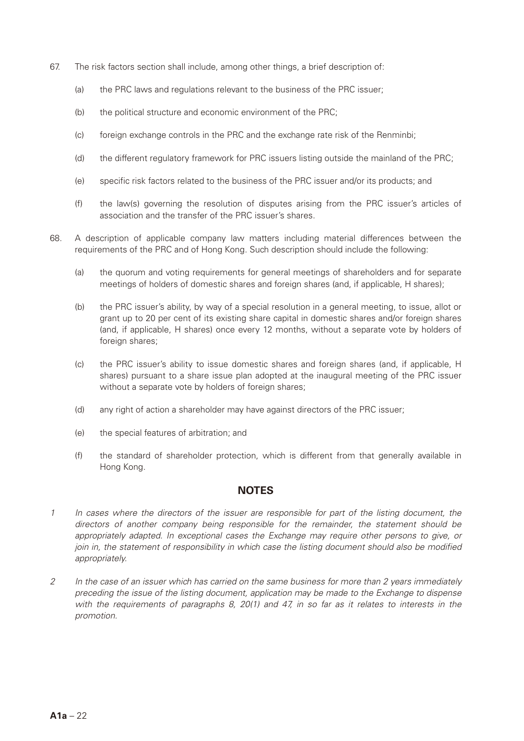- 67. The risk factors section shall include, among other things, a brief description of:
	- (a) the PRC laws and regulations relevant to the business of the PRC issuer;
	- (b) the political structure and economic environment of the PRC;
	- (c) foreign exchange controls in the PRC and the exchange rate risk of the Renminbi;
	- (d) the different regulatory framework for PRC issuers listing outside the mainland of the PRC;
	- (e) specific risk factors related to the business of the PRC issuer and/or its products; and
	- (f) the law(s) governing the resolution of disputes arising from the PRC issuer's articles of association and the transfer of the PRC issuer's shares.
- 68. A description of applicable company law matters including material differences between the requirements of the PRC and of Hong Kong. Such description should include the following:
	- (a) the quorum and voting requirements for general meetings of shareholders and for separate meetings of holders of domestic shares and foreign shares (and, if applicable, H shares);
	- (b) the PRC issuer's ability, by way of a special resolution in a general meeting, to issue, allot or grant up to 20 per cent of its existing share capital in domestic shares and/or foreign shares (and, if applicable, H shares) once every 12 months, without a separate vote by holders of foreign shares;
	- (c) the PRC issuer's ability to issue domestic shares and foreign shares (and, if applicable, H shares) pursuant to a share issue plan adopted at the inaugural meeting of the PRC issuer without a separate vote by holders of foreign shares;
	- (d) any right of action a shareholder may have against directors of the PRC issuer;
	- (e) the special features of arbitration; and
	- (f) the standard of shareholder protection, which is different from that generally available in Hong Kong.

## **NOTES**

- *1 In cases where the directors of the issuer are responsible for part of the listing document, the directors of another company being responsible for the remainder, the statement should be appropriately adapted. In exceptional cases the Exchange may require other persons to give, or join in, the statement of responsibility in which case the listing document should also be modified appropriately.*
- *2 In the case of an issuer which has carried on the same business for more than 2 years immediately preceding the issue of the listing document, application may be made to the Exchange to dispense with the requirements of paragraphs 8, 20(1) and 47, in so far as it relates to interests in the promotion.*